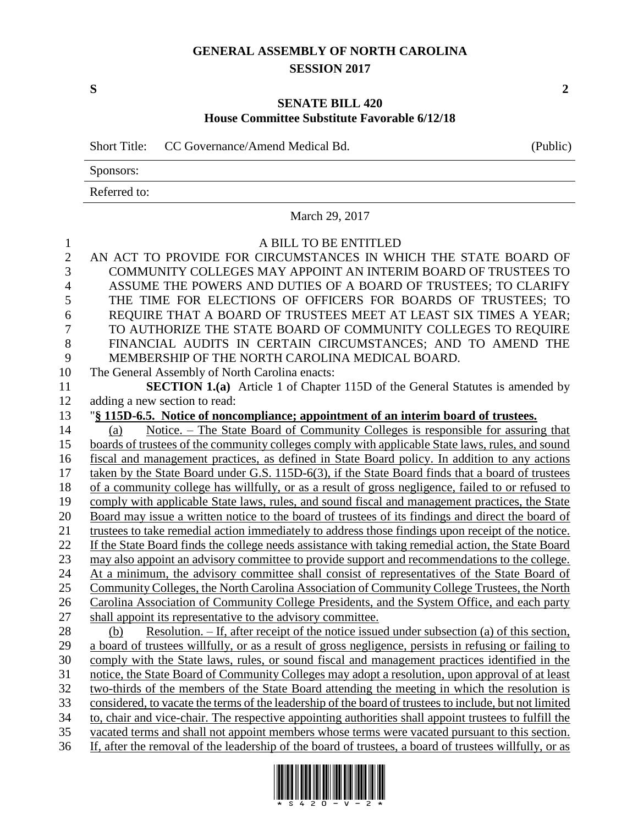## **GENERAL ASSEMBLY OF NORTH CAROLINA SESSION 2017**

**S 2**

## **SENATE BILL 420 House Committee Substitute Favorable 6/12/18**

Short Title: CC Governance/Amend Medical Bd. (Public)

Sponsors:

Referred to:

|                                | March 29, 2017                                                                                         |  |  |  |  |
|--------------------------------|--------------------------------------------------------------------------------------------------------|--|--|--|--|
| $\mathbf{1}$<br>$\overline{2}$ | A BILL TO BE ENTITLED<br>AN ACT TO PROVIDE FOR CIRCUMSTANCES IN WHICH THE STATE BOARD OF               |  |  |  |  |
| 3                              | COMMUNITY COLLEGES MAY APPOINT AN INTERIM BOARD OF TRUSTEES TO                                         |  |  |  |  |
| $\overline{4}$                 | ASSUME THE POWERS AND DUTIES OF A BOARD OF TRUSTEES; TO CLARIFY                                        |  |  |  |  |
| 5                              | THE TIME FOR ELECTIONS OF OFFICERS FOR BOARDS OF TRUSTEES; TO                                          |  |  |  |  |
| 6                              | REQUIRE THAT A BOARD OF TRUSTEES MEET AT LEAST SIX TIMES A YEAR;                                       |  |  |  |  |
| $\overline{7}$                 | TO AUTHORIZE THE STATE BOARD OF COMMUNITY COLLEGES TO REQUIRE                                          |  |  |  |  |
| 8                              | FINANCIAL AUDITS IN CERTAIN CIRCUMSTANCES; AND TO AMEND THE                                            |  |  |  |  |
| 9                              | MEMBERSHIP OF THE NORTH CAROLINA MEDICAL BOARD.                                                        |  |  |  |  |
| 10                             | The General Assembly of North Carolina enacts:                                                         |  |  |  |  |
| 11                             | <b>SECTION 1.(a)</b> Article 1 of Chapter 115D of the General Statutes is amended by                   |  |  |  |  |
| 12                             | adding a new section to read:                                                                          |  |  |  |  |
| 13                             | "§ 115D-6.5. Notice of noncompliance; appointment of an interim board of trustees.                     |  |  |  |  |
| 14                             | Notice. – The State Board of Community Colleges is responsible for assuring that<br>(a)                |  |  |  |  |
| 15                             | boards of trustees of the community colleges comply with applicable State laws, rules, and sound       |  |  |  |  |
| 16                             | fiscal and management practices, as defined in State Board policy. In addition to any actions          |  |  |  |  |
| 17                             | taken by the State Board under G.S. 115D-6(3), if the State Board finds that a board of trustees       |  |  |  |  |
| 18                             | of a community college has willfully, or as a result of gross negligence, failed to or refused to      |  |  |  |  |
| 19                             | comply with applicable State laws, rules, and sound fiscal and management practices, the State         |  |  |  |  |
| 20                             | Board may issue a written notice to the board of trustees of its findings and direct the board of      |  |  |  |  |
| 21                             | trustees to take remedial action immediately to address those findings upon receipt of the notice.     |  |  |  |  |
| 22                             | If the State Board finds the college needs assistance with taking remedial action, the State Board     |  |  |  |  |
| 23                             | may also appoint an advisory committee to provide support and recommendations to the college.          |  |  |  |  |
| 24                             | At a minimum, the advisory committee shall consist of representatives of the State Board of            |  |  |  |  |
| 25                             | Community Colleges, the North Carolina Association of Community College Trustees, the North            |  |  |  |  |
| 26                             | Carolina Association of Community College Presidents, and the System Office, and each party            |  |  |  |  |
| 27                             | shall appoint its representative to the advisory committee.                                            |  |  |  |  |
| 28                             | Resolution. - If, after receipt of the notice issued under subsection (a) of this section,<br>(b)      |  |  |  |  |
| 29                             | a board of trustees willfully, or as a result of gross negligence, persists in refusing or failing to  |  |  |  |  |
| 30                             | comply with the State laws, rules, or sound fiscal and management practices identified in the          |  |  |  |  |
| 31                             | notice, the State Board of Community Colleges may adopt a resolution, upon approval of at least        |  |  |  |  |
| 32                             | two-thirds of the members of the State Board attending the meeting in which the resolution is          |  |  |  |  |
| 33                             | considered, to vacate the terms of the leadership of the board of trustees to include, but not limited |  |  |  |  |
| 34                             | to, chair and vice-chair. The respective appointing authorities shall appoint trustees to fulfill the  |  |  |  |  |
| 35                             | vacated terms and shall not appoint members whose terms were vacated pursuant to this section.         |  |  |  |  |
| 36                             | If, after the removal of the leadership of the board of trustees, a board of trustees willfully, or as |  |  |  |  |

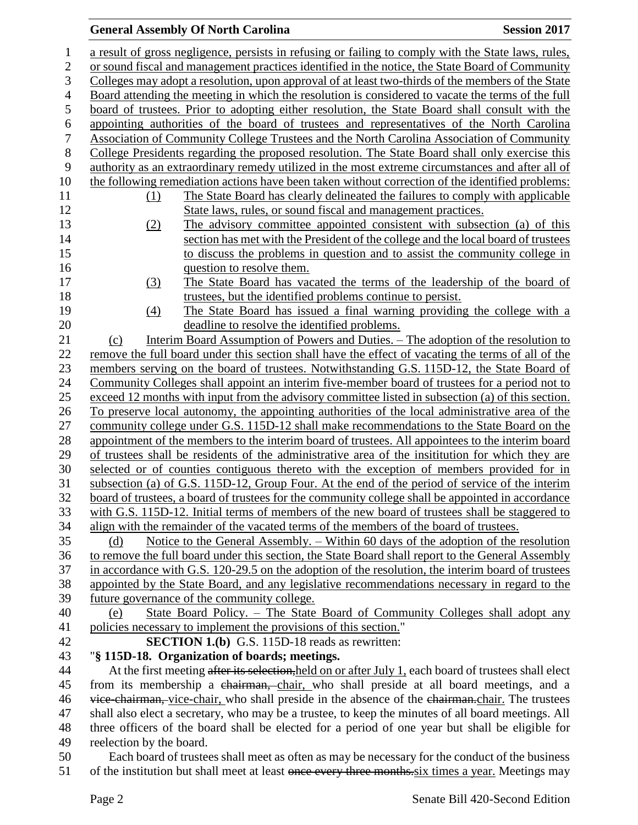## **General Assembly Of North Carolina Session 2017**

| $\mathbf{1}$     | a result of gross negligence, persists in refusing or failing to comply with the State laws, rules,   |  |  |  |  |
|------------------|-------------------------------------------------------------------------------------------------------|--|--|--|--|
| $\overline{2}$   | or sound fiscal and management practices identified in the notice, the State Board of Community       |  |  |  |  |
| 3                | Colleges may adopt a resolution, upon approval of at least two-thirds of the members of the State     |  |  |  |  |
| $\overline{4}$   | Board attending the meeting in which the resolution is considered to vacate the terms of the full     |  |  |  |  |
| 5                | board of trustees. Prior to adopting either resolution, the State Board shall consult with the        |  |  |  |  |
| $\boldsymbol{6}$ | appointing authorities of the board of trustees and representatives of the North Carolina             |  |  |  |  |
| $\boldsymbol{7}$ | Association of Community College Trustees and the North Carolina Association of Community             |  |  |  |  |
| $8\,$            | College Presidents regarding the proposed resolution. The State Board shall only exercise this        |  |  |  |  |
| 9                | authority as an extraordinary remedy utilized in the most extreme circumstances and after all of      |  |  |  |  |
| 10               | the following remediation actions have been taken without correction of the identified problems:      |  |  |  |  |
| 11               | The State Board has clearly delineated the failures to comply with applicable<br>(1)                  |  |  |  |  |
| 12               | State laws, rules, or sound fiscal and management practices.                                          |  |  |  |  |
| 13               | The advisory committee appointed consistent with subsection (a) of this<br>(2)                        |  |  |  |  |
| 14               | section has met with the President of the college and the local board of trustees                     |  |  |  |  |
| 15               | to discuss the problems in question and to assist the community college in                            |  |  |  |  |
| 16               | question to resolve them.                                                                             |  |  |  |  |
| 17               | The State Board has vacated the terms of the leadership of the board of<br>(3)                        |  |  |  |  |
| 18               | trustees, but the identified problems continue to persist.                                            |  |  |  |  |
| 19               | The State Board has issued a final warning providing the college with a<br>(4)                        |  |  |  |  |
| 20               | deadline to resolve the identified problems.                                                          |  |  |  |  |
| 21               | Interim Board Assumption of Powers and Duties. - The adoption of the resolution to<br>(c)             |  |  |  |  |
| 22               | remove the full board under this section shall have the effect of vacating the terms of all of the    |  |  |  |  |
| 23               | members serving on the board of trustees. Notwithstanding G.S. 115D-12, the State Board of            |  |  |  |  |
| 24               | Community Colleges shall appoint an interim five-member board of trustees for a period not to         |  |  |  |  |
| 25               | exceed 12 months with input from the advisory committee listed in subsection (a) of this section.     |  |  |  |  |
| 26               | To preserve local autonomy, the appointing authorities of the local administrative area of the        |  |  |  |  |
| 27               | community college under G.S. 115D-12 shall make recommendations to the State Board on the             |  |  |  |  |
| 28               | appointment of the members to the interim board of trustees. All appointees to the interim board      |  |  |  |  |
| 29               | of trustees shall be residents of the administrative area of the insititution for which they are      |  |  |  |  |
| 30               | selected or of counties contiguous thereto with the exception of members provided for in              |  |  |  |  |
| 31               | subsection (a) of G.S. 115D-12, Group Four. At the end of the period of service of the interim        |  |  |  |  |
| 32               | board of trustees, a board of trustees for the community college shall be appointed in accordance     |  |  |  |  |
| 33               | with G.S. 115D-12. Initial terms of members of the new board of trustees shall be staggered to        |  |  |  |  |
| 34               | align with the remainder of the vacated terms of the members of the board of trustees.                |  |  |  |  |
| 35               | Notice to the General Assembly. – Within 60 days of the adoption of the resolution<br>(d)             |  |  |  |  |
| 36               | to remove the full board under this section, the State Board shall report to the General Assembly     |  |  |  |  |
| 37               | in accordance with G.S. 120-29.5 on the adoption of the resolution, the interim board of trustees     |  |  |  |  |
| 38               | appointed by the State Board, and any legislative recommendations necessary in regard to the          |  |  |  |  |
| 39               | future governance of the community college.                                                           |  |  |  |  |
| 40               | State Board Policy. - The State Board of Community Colleges shall adopt any<br>(e)                    |  |  |  |  |
| 41               | policies necessary to implement the provisions of this section."                                      |  |  |  |  |
| 42               | SECTION 1.(b) G.S. 115D-18 reads as rewritten:                                                        |  |  |  |  |
| 43               | "§ 115D-18. Organization of boards; meetings.                                                         |  |  |  |  |
| 44               | At the first meeting after its selection, held on or after July 1, each board of trustees shall elect |  |  |  |  |
| 45               | from its membership a chairman, chair, who shall preside at all board meetings, and a                 |  |  |  |  |
| 46               | vice-chairman, vice-chair, who shall preside in the absence of the chairman-chair. The trustees       |  |  |  |  |
| 47               | shall also elect a secretary, who may be a trustee, to keep the minutes of all board meetings. All    |  |  |  |  |
| 48               | three officers of the board shall be elected for a period of one year but shall be eligible for       |  |  |  |  |
| 49               | reelection by the board.                                                                              |  |  |  |  |
| 50               | Each board of trustees shall meet as often as may be necessary for the conduct of the business        |  |  |  |  |
| 51               | of the institution but shall meet at least once every three months six times a year. Meetings may     |  |  |  |  |